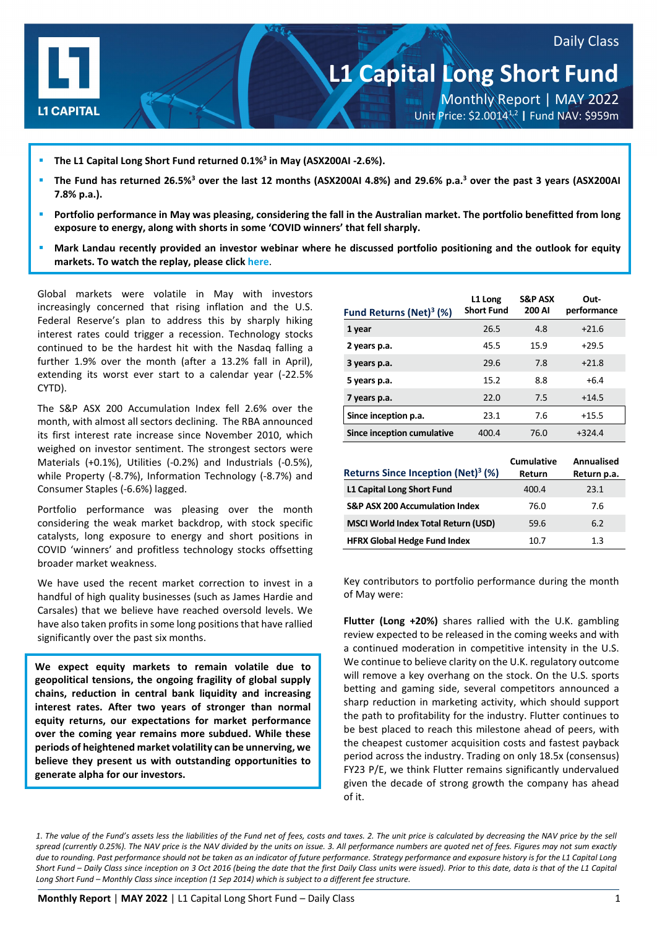

# **L1 Capital Long Short Fund**

Daily Class

Monthly Report | MAY 2022 Unit Price: \$2.00141,2 **|** Fund NAV: \$959m

- **The L1 Capital Long Short Fund returned 0.1%3 in May (ASX200AI -2.6%).**
- **The Fund has returned 26.5%3 over the last 12 months (ASX200AI 4.8%) and 29.6% p.a.3 over the past 3 years (ASX200AI 7.8% p.a.).**
- **Portfolio performance in May was pleasing, considering the fall in the Australian market. The portfolio benefitted from long exposure to energy, along with shorts in some 'COVID winners' that fell sharply.**
- **Mark Landau recently provided an investor webinar where he discussed portfolio positioning and the outlook for equity markets. To watch the replay, please click [here](https://l1-1.wistia.com/medias/1y8n2d1nmt)**.

Global markets were volatile in May with investors increasingly concerned that rising inflation and the U.S. Federal Reserve's plan to address this by sharply hiking interest rates could trigger a recession. Technology stocks continued to be the hardest hit with the Nasdaq falling a further 1.9% over the month (after a 13.2% fall in April), extending its worst ever start to a calendar year (-22.5% CYTD).

The S&P ASX 200 Accumulation Index fell 2.6% over the month, with almost all sectors declining. The RBA announced its first interest rate increase since November 2010, which weighed on investor sentiment. The strongest sectors were Materials (+0.1%), Utilities (-0.2%) and Industrials (-0.5%), while Property (-8.7%), Information Technology (-8.7%) and Consumer Staples (-6.6%) lagged.

Portfolio performance was pleasing over the month considering the weak market backdrop, with stock specific catalysts, long exposure to energy and short positions in COVID 'winners' and profitless technology stocks offsetting broader market weakness.

We have used the recent market correction to invest in a handful of high quality businesses (such as James Hardie and Carsales) that we believe have reached oversold levels. We have also taken profits in some long positions that have rallied significantly over the past six months.

**We expect equity markets to remain volatile due to geopolitical tensions, the ongoing fragility of global supply chains, reduction in central bank liquidity and increasing interest rates. After two years of stronger than normal equity returns, our expectations for market performance over the coming year remains more subdued. While these periods of heightened market volatility can be unnerving, we believe they present us with outstanding opportunities to generate alpha for our investors.**

| Fund Returns (Net) $3$ (%) | L1 Long<br><b>Short Fund</b> | <b>S&amp;P ASX</b><br>200 AI | Out-<br>performance |
|----------------------------|------------------------------|------------------------------|---------------------|
| 1 year                     | 26.5                         | 4.8                          | $+21.6$             |
| 2 years p.a.               | 45.5                         | 15.9                         | $+29.5$             |
| 3 years p.a.               | 29.6                         | 7.8                          | $+21.8$             |
| 5 years p.a.               | 15.2                         | 8.8                          | $+6.4$              |
| 7 years p.a.               | 22.0                         | 7.5                          | $+14.5$             |
| Since inception p.a.       | 23.1                         | 7.6                          | $+15.5$             |
| Since inception cumulative | 400.4                        | 76.0                         | $+324.4$            |

| Returns Since Inception (Net) <sup>3</sup> (%) | Cumulative<br>Return | Annualised<br>Return p.a. |
|------------------------------------------------|----------------------|---------------------------|
| L1 Capital Long Short Fund                     | 400.4                | 23.1                      |
| <b>S&amp;P ASX 200 Accumulation Index</b>      | 76.0                 | 7.6                       |
| <b>MSCI World Index Total Return (USD)</b>     | 59.6                 | 6.2                       |
| <b>HFRX Global Hedge Fund Index</b>            | 10.7                 | 1.3                       |

Key contributors to portfolio performance during the month of May were:

**Flutter (Long +20%)** shares rallied with the U.K. gambling review expected to be released in the coming weeks and with a continued moderation in competitive intensity in the U.S. We continue to believe clarity on the U.K. regulatory outcome will remove a key overhang on the stock. On the U.S. sports betting and gaming side, several competitors announced a sharp reduction in marketing activity, which should support the path to profitability for the industry. Flutter continues to be best placed to reach this milestone ahead of peers, with the cheapest customer acquisition costs and fastest payback period across the industry. Trading on only 18.5x (consensus) FY23 P/E, we think Flutter remains significantly undervalued given the decade of strong growth the company has ahead of it.

*1. The value of the Fund's assets less the liabilities of the Fund net of fees, costs and taxes. 2. The unit price is calculated by decreasing the NAV price by the sell spread (currently 0.25%). The NAV price is the NAV divided by the units on issue. 3. All performance numbers are quoted net of fees. Figures may not sum exactly due to rounding. Past performance should not be taken as an indicator of future performance. Strategy performance and exposure history is for the L1 Capital Long Short Fund – Daily Class since inception on 3 Oct 2016 (being the date that the first Daily Class units were issued). Prior to this date, data is that of the L1 Capital Long Short Fund – Monthly Class since inception (1 Sep 2014) which is subject to a different fee structure.*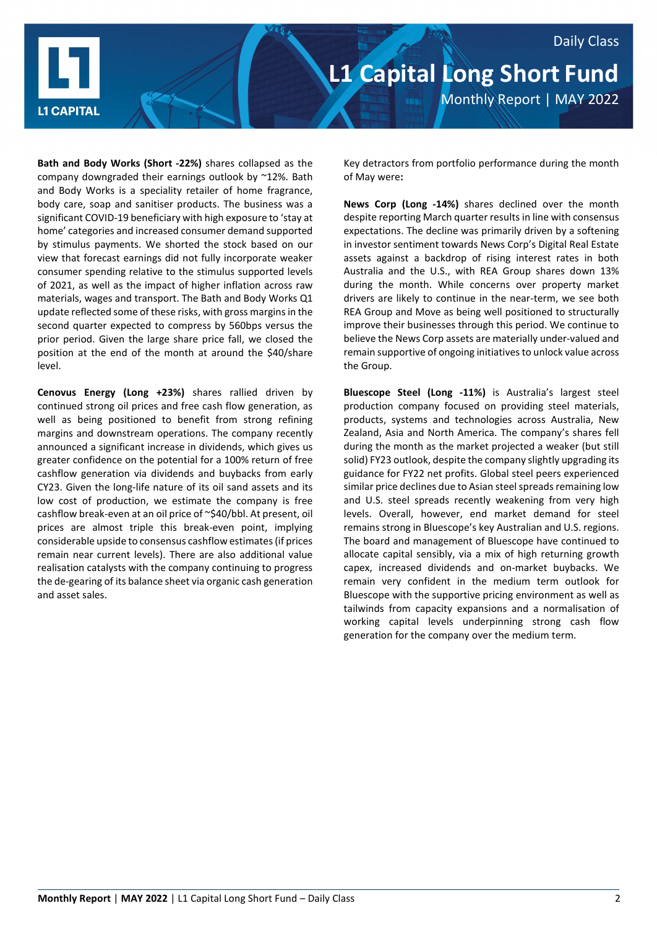

**Bath and Body Works (Short -22%)** shares collapsed as the company downgraded their earnings outlook by ~12%. Bath and Body Works is a speciality retailer of home fragrance, body care, soap and sanitiser products. The business was a significant COVID-19 beneficiary with high exposure to 'stay at home' categories and increased consumer demand supported by stimulus payments. We shorted the stock based on our view that forecast earnings did not fully incorporate weaker consumer spending relative to the stimulus supported levels of 2021, as well as the impact of higher inflation across raw materials, wages and transport. The Bath and Body Works Q1 update reflected some of these risks, with gross margins in the second quarter expected to compress by 560bps versus the prior period. Given the large share price fall, we closed the position at the end of the month at around the \$40/share level.

**Cenovus Energy (Long +23%)** shares rallied driven by continued strong oil prices and free cash flow generation, as well as being positioned to benefit from strong refining margins and downstream operations. The company recently announced a significant increase in dividends, which gives us greater confidence on the potential for a 100% return of free cashflow generation via dividends and buybacks from early CY23. Given the long-life nature of its oil sand assets and its low cost of production, we estimate the company is free cashflow break-even at an oil price of ~\$40/bbl. At present, oil prices are almost triple this break-even point, implying considerable upside to consensus cashflow estimates (if prices remain near current levels). There are also additional value realisation catalysts with the company continuing to progress the de-gearing of its balance sheet via organic cash generation and asset sales.

Key detractors from portfolio performance during the month of May were**:**

**News Corp (Long -14%)** shares declined over the month despite reporting March quarter results in line with consensus expectations. The decline was primarily driven by a softening in investor sentiment towards News Corp's Digital Real Estate assets against a backdrop of rising interest rates in both Australia and the U.S., with REA Group shares down 13% during the month. While concerns over property market drivers are likely to continue in the near-term, we see both REA Group and Move as being well positioned to structurally improve their businesses through this period. We continue to believe the News Corp assets are materially under-valued and remain supportive of ongoing initiatives to unlock value across the Group.

**Bluescope Steel (Long -11%)** is Australia's largest steel production company focused on providing steel materials, products, systems and technologies across Australia, New Zealand, Asia and North America. The company's shares fell during the month as the market projected a weaker (but still solid) FY23 outlook, despite the company slightly upgrading its guidance for FY22 net profits. Global steel peers experienced similar price declines due to Asian steel spreads remaining low and U.S. steel spreads recently weakening from very high levels. Overall, however, end market demand for steel remains strong in Bluescope's key Australian and U.S. regions. The board and management of Bluescope have continued to allocate capital sensibly, via a mix of high returning growth capex, increased dividends and on-market buybacks. We remain very confident in the medium term outlook for Bluescope with the supportive pricing environment as well as tailwinds from capacity expansions and a normalisation of working capital levels underpinning strong cash flow generation for the company over the medium term.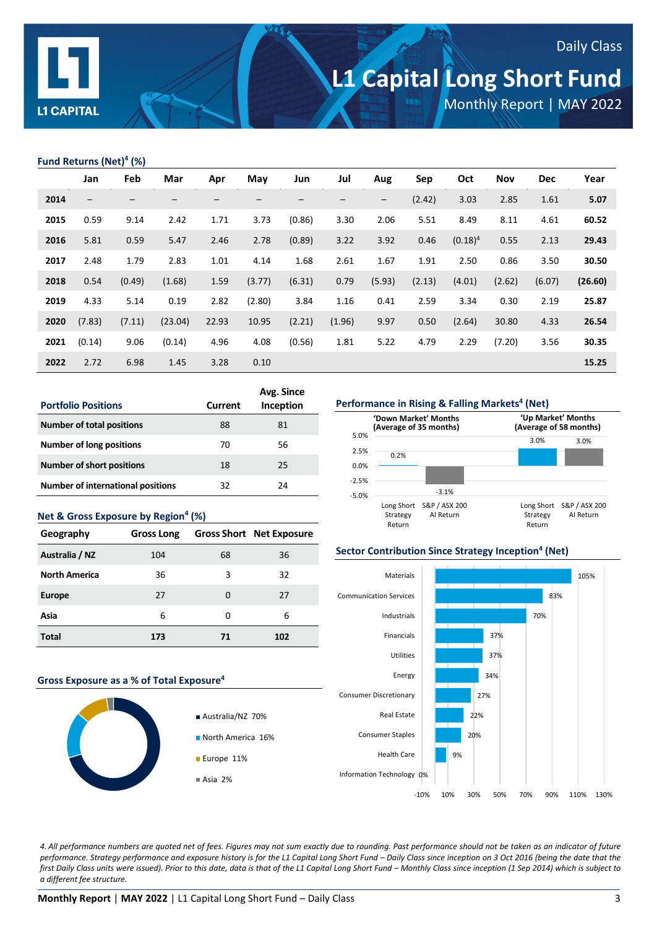

# **L1 Capital Long Short Fund**

Monthly Report | MAY 2022

Daily Class

### **Fund Returns (Net)4 (%)**

|      | Jan                      | Feb    | Mar     | Apr   | May    | Jun    | Jul    | Aug                      | Sep    | Oct        | Nov    | <b>Dec</b> | Year    |
|------|--------------------------|--------|---------|-------|--------|--------|--------|--------------------------|--------|------------|--------|------------|---------|
| 2014 | $\overline{\phantom{m}}$ | —      |         |       |        |        | -      | $\overline{\phantom{m}}$ | (2.42) | 3.03       | 2.85   | 1.61       | 5.07    |
| 2015 | 0.59                     | 9.14   | 2.42    | 1.71  | 3.73   | (0.86) | 3.30   | 2.06                     | 5.51   | 8.49       | 8.11   | 4.61       | 60.52   |
| 2016 | 5.81                     | 0.59   | 5.47    | 2.46  | 2.78   | (0.89) | 3.22   | 3.92                     | 0.46   | $(0.18)^4$ | 0.55   | 2.13       | 29.43   |
| 2017 | 2.48                     | 1.79   | 2.83    | 1.01  | 4.14   | 1.68   | 2.61   | 1.67                     | 1.91   | 2.50       | 0.86   | 3.50       | 30.50   |
| 2018 | 0.54                     | (0.49) | (1.68)  | 1.59  | (3.77) | (6.31) | 0.79   | (5.93)                   | (2.13) | (4.01)     | (2.62) | (6.07)     | (26.60) |
| 2019 | 4.33                     | 5.14   | 0.19    | 2.82  | (2.80) | 3.84   | 1.16   | 0.41                     | 2.59   | 3.34       | 0.30   | 2.19       | 25.87   |
| 2020 | (7.83)                   | (7.11) | (23.04) | 22.93 | 10.95  | (2.21) | (1.96) | 9.97                     | 0.50   | (2.64)     | 30.80  | 4.33       | 26.54   |
| 2021 | (0.14)                   | 9.06   | (0.14)  | 4.96  | 4.08   | (0.56) | 1.81   | 5.22                     | 4.79   | 2.29       | (7.20) | 3.56       | 30.35   |
| 2022 | 2.72                     | 6.98   | 1.45    | 3.28  | 0.10   |        |        |                          |        |            |        |            | 15.25   |

| <b>Portfolio Positions</b>               | <b>Current</b> | Avg. Since<br>Inception |
|------------------------------------------|----------------|-------------------------|
| <b>Number of total positions</b>         | 88             | 81                      |
| Number of long positions                 | 70             | 56                      |
| <b>Number of short positions</b>         | 18             | 25                      |
| <b>Number of international positions</b> | 32             | 24                      |

| Net & Gross Exposure by Region <sup>4</sup> (%) |                   |    |                                 |  |
|-------------------------------------------------|-------------------|----|---------------------------------|--|
| Geography                                       | <b>Gross Long</b> |    | <b>Gross Short</b> Net Exposure |  |
| Australia / NZ                                  | 104               | 68 | 36                              |  |
| <b>North America</b>                            | 36                | 3  | 32                              |  |
| Europe                                          | 27                | 0  | 27                              |  |
| Asia                                            | 6                 | U  | 6                               |  |
| Total                                           | 173               | 71 | 102                             |  |







### **Sector Contribution Since Strategy Inception<sup>4</sup> (Net)**



*4. All performance numbers are quoted net of fees. Figures may not sum exactly due to rounding. Past performance should not be taken as an indicator of future performance. Strategy performance and exposure history is for the L1 Capital Long Short Fund – Daily Class since inception on 3 Oct 2016 (being the date that the first Daily Class units were issued). Prior to this date, data is that of the L1 Capital Long Short Fund – Monthly Class since inception (1 Sep 2014) which is subject to a different fee structure.*